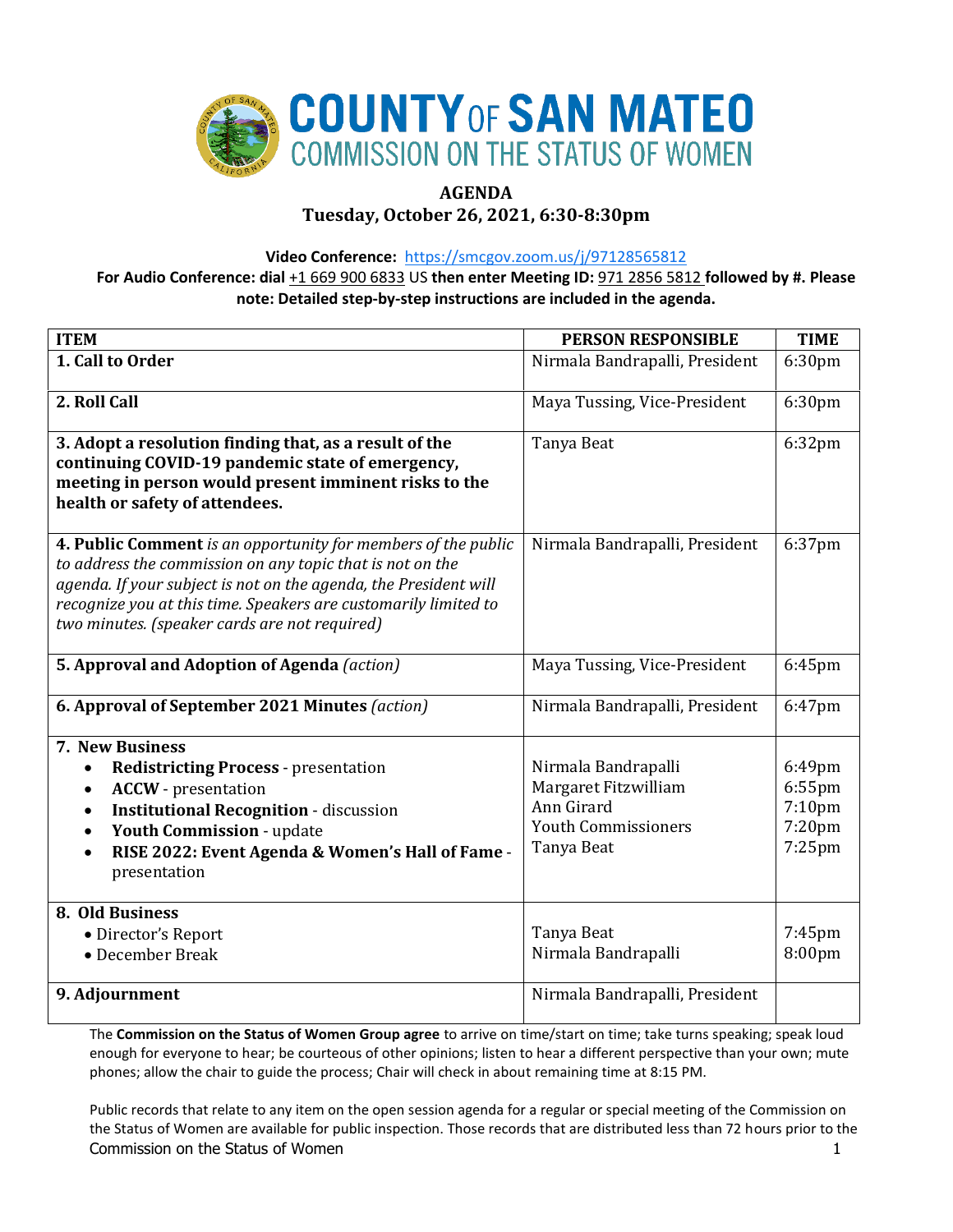

# **AGENDA**

**Tuesday, October 26, 2021, 6:30-8:30pm**

**Video Conference:** <https://smcgov.zoom.us/j/97128565812>

**For Audio Conference: dial** +1 669 900 6833 US **then enter Meeting ID:** 971 2856 5812 **followed by #. Please note: Detailed step-by-step instructions are included in the agenda.**

| <b>ITEM</b>                                                                                                                                                                                                                                                                                                        | <b>PERSON RESPONSIBLE</b>                                                                             | <b>TIME</b>                                          |
|--------------------------------------------------------------------------------------------------------------------------------------------------------------------------------------------------------------------------------------------------------------------------------------------------------------------|-------------------------------------------------------------------------------------------------------|------------------------------------------------------|
| 1. Call to Order                                                                                                                                                                                                                                                                                                   | Nirmala Bandrapalli, President                                                                        | 6:30pm                                               |
| 2. Roll Call                                                                                                                                                                                                                                                                                                       | Maya Tussing, Vice-President                                                                          | 6:30pm                                               |
| 3. Adopt a resolution finding that, as a result of the<br>continuing COVID-19 pandemic state of emergency,<br>meeting in person would present imminent risks to the<br>health or safety of attendees.                                                                                                              | Tanya Beat                                                                                            | 6:32pm                                               |
| 4. Public Comment is an opportunity for members of the public<br>to address the commission on any topic that is not on the<br>agenda. If your subject is not on the agenda, the President will<br>recognize you at this time. Speakers are customarily limited to<br>two minutes. (speaker cards are not required) | Nirmala Bandrapalli, President                                                                        | 6:37pm                                               |
| 5. Approval and Adoption of Agenda (action)                                                                                                                                                                                                                                                                        | Maya Tussing, Vice-President                                                                          | 6:45pm                                               |
| 6. Approval of September 2021 Minutes (action)                                                                                                                                                                                                                                                                     | Nirmala Bandrapalli, President                                                                        | 6:47pm                                               |
| 7. New Business<br><b>Redistricting Process - presentation</b><br>$\bullet$<br><b>ACCW</b> - presentation<br>$\bullet$<br><b>Institutional Recognition - discussion</b><br>$\bullet$<br>Youth Commission - update<br>$\bullet$<br>RISE 2022: Event Agenda & Women's Hall of Fame -<br>presentation                 | Nirmala Bandrapalli<br>Margaret Fitzwilliam<br>Ann Girard<br><b>Youth Commissioners</b><br>Tanya Beat | 6:49pm<br>$6:55$ pm<br>7:10pm<br>7:20pm<br>$7:25$ pm |
| 8. Old Business<br>• Director's Report<br>• December Break                                                                                                                                                                                                                                                         | Tanya Beat<br>Nirmala Bandrapalli                                                                     | $7:45$ pm<br>8:00pm                                  |
| 9. Adjournment                                                                                                                                                                                                                                                                                                     | Nirmala Bandrapalli, President                                                                        |                                                      |

The **Commission on the Status of Women Group agree** to arrive on time/start on time; take turns speaking; speak loud enough for everyone to hear; be courteous of other opinions; listen to hear a different perspective than your own; mute phones; allow the chair to guide the process; Chair will check in about remaining time at 8:15 PM.

Commission on the Status of Women 1 and 200 minutes of the Status of Women 1 and 200 minutes of the Status of Women 1 and 200 minutes of the Status of Women 1 and 200 minutes of the Status of Women 1 and 200 minutes of the Public records that relate to any item on the open session agenda for a regular or special meeting of the Commission on the Status of Women are available for public inspection. Those records that are distributed less than 72 hours prior to the